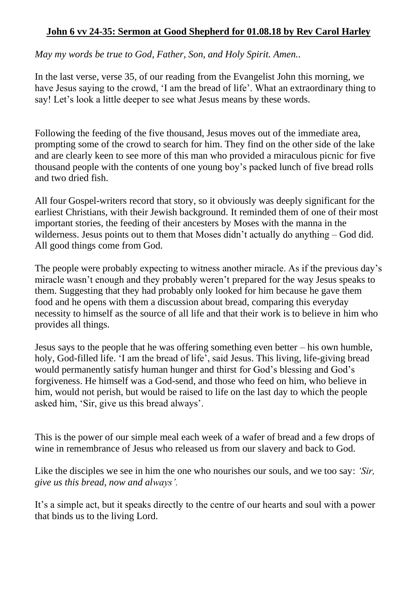## **John 6 vv 24-35: Sermon at Good Shepherd for 01.08.18 by Rev Carol Harley**

*May my words be true to God, Father, Son, and Holy Spirit. Amen.*.

In the last verse, verse 35, of our reading from the Evangelist John this morning, we have Jesus saying to the crowd, 'I am the bread of life'. What an extraordinary thing to say! Let's look a little deeper to see what Jesus means by these words.

Following the feeding of the five thousand, Jesus moves out of the immediate area, prompting some of the crowd to search for him. They find on the other side of the lake and are clearly keen to see more of this man who provided a miraculous picnic for five thousand people with the contents of one young boy's packed lunch of five bread rolls and two dried fish.

All four Gospel-writers record that story, so it obviously was deeply significant for the earliest Christians, with their Jewish background. It reminded them of one of their most important stories, the feeding of their ancesters by Moses with the manna in the wilderness. Jesus points out to them that Moses didn't actually do anything – God did. All good things come from God.

The people were probably expecting to witness another miracle. As if the previous day's miracle wasn't enough and they probably weren't prepared for the way Jesus speaks to them. Suggesting that they had probably only looked for him because he gave them food and he opens with them a discussion about bread, comparing this everyday necessity to himself as the source of all life and that their work is to believe in him who provides all things.

Jesus says to the people that he was offering something even better – his own humble, holy, God-filled life. 'I am the bread of life', said Jesus. This living, life-giving bread would permanently satisfy human hunger and thirst for God's blessing and God's forgiveness. He himself was a God-send, and those who feed on him, who believe in him, would not perish, but would be raised to life on the last day to which the people asked him, 'Sir, give us this bread always'.

This is the power of our simple meal each week of a wafer of bread and a few drops of wine in remembrance of Jesus who released us from our slavery and back to God.

Like the disciples we see in him the one who nourishes our souls, and we too say: *'Sir, give us this bread, now and always'.*

It's a simple act, but it speaks directly to the centre of our hearts and soul with a power that binds us to the living Lord.